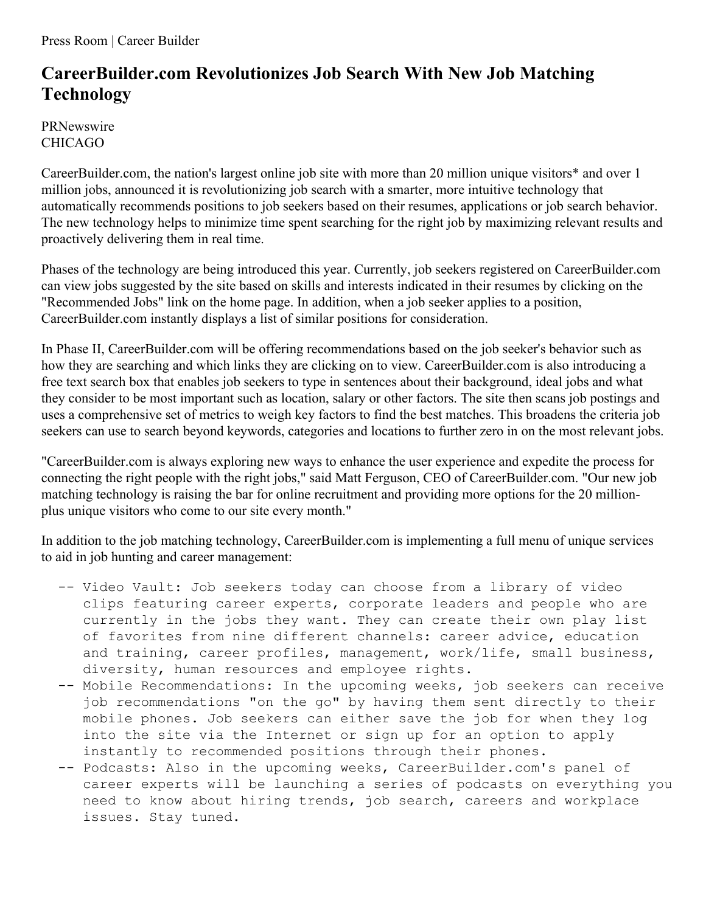Press Room | Career Builder

## **CareerBuilder.com Revolutionizes Job Search With New Job Matching Technology**

PRNewswire CHICAGO

CareerBuilder.com, the nation's largest online job site with more than 20 million unique visitors\* and over 1 million jobs, announced it is revolutionizing job search with a smarter, more intuitive technology that automatically recommends positions to job seekers based on their resumes, applications or job search behavior. The new technology helps to minimize time spent searching for the right job by maximizing relevant results and proactively delivering them in real time.

Phases of the technology are being introduced this year. Currently, job seekers registered on CareerBuilder.com can view jobs suggested by the site based on skills and interests indicated in their resumes by clicking on the "Recommended Jobs" link on the home page. In addition, when a job seeker applies to a position, CareerBuilder.com instantly displays a list of similar positions for consideration.

In Phase II, CareerBuilder.com will be offering recommendations based on the job seeker's behavior such as how they are searching and which links they are clicking on to view. CareerBuilder.com is also introducing a free text search box that enables job seekers to type in sentences about their background, ideal jobs and what they consider to be most important such as location, salary or other factors. The site then scans job postings and uses a comprehensive set of metrics to weigh key factors to find the best matches. This broadens the criteria job seekers can use to search beyond keywords, categories and locations to further zero in on the most relevant jobs.

"CareerBuilder.com is always exploring new ways to enhance the user experience and expedite the process for connecting the right people with the right jobs," said Matt Ferguson, CEO of CareerBuilder.com. "Our new job matching technology is raising the bar for online recruitment and providing more options for the 20 millionplus unique visitors who come to our site every month."

In addition to the job matching technology, CareerBuilder.com is implementing a full menu of unique services to aid in job hunting and career management:

- -- Video Vault: Job seekers today can choose from a library of video clips featuring career experts, corporate leaders and people who are currently in the jobs they want. They can create their own play list of favorites from nine different channels: career advice, education and training, career profiles, management, work/life, small business, diversity, human resources and employee rights.
- -- Mobile Recommendations: In the upcoming weeks, job seekers can receive job recommendations "on the go" by having them sent directly to their mobile phones. Job seekers can either save the job for when they log into the site via the Internet or sign up for an option to apply instantly to recommended positions through their phones.
- -- Podcasts: Also in the upcoming weeks, CareerBuilder.com's panel of career experts will be launching a series of podcasts on everything you need to know about hiring trends, job search, careers and workplace issues. Stay tuned.